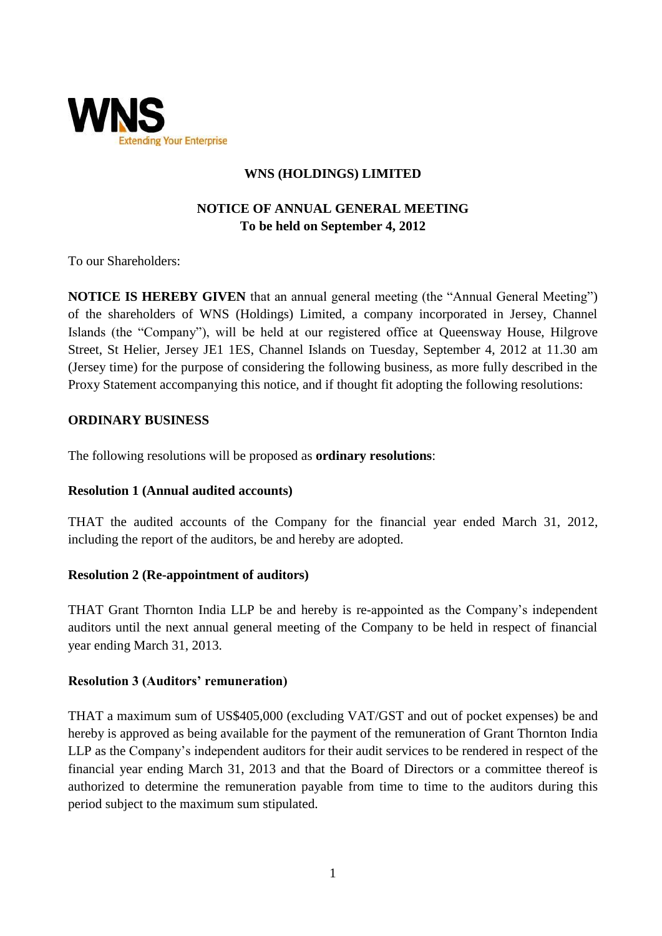

# **WNS (HOLDINGS) LIMITED**

# **NOTICE OF ANNUAL GENERAL MEETING To be held on September 4, 2012**

To our Shareholders:

**NOTICE IS HEREBY GIVEN** that an annual general meeting (the "Annual General Meeting") of the shareholders of WNS (Holdings) Limited, a company incorporated in Jersey, Channel Islands (the "Company"), will be held at our registered office at Queensway House, Hilgrove Street, St Helier, Jersey JE1 1ES, Channel Islands on Tuesday, September 4, 2012 at 11.30 am (Jersey time) for the purpose of considering the following business, as more fully described in the Proxy Statement accompanying this notice, and if thought fit adopting the following resolutions:

## **ORDINARY BUSINESS**

The following resolutions will be proposed as **ordinary resolutions**:

#### **Resolution 1 (Annual audited accounts)**

THAT the audited accounts of the Company for the financial year ended March 31, 2012, including the report of the auditors, be and hereby are adopted.

#### **Resolution 2 (Re-appointment of auditors)**

THAT Grant Thornton India LLP be and hereby is re-appointed as the Company's independent auditors until the next annual general meeting of the Company to be held in respect of financial year ending March 31, 2013.

## **Resolution 3 (Auditors' remuneration)**

THAT a maximum sum of US\$405,000 (excluding VAT/GST and out of pocket expenses) be and hereby is approved as being available for the payment of the remuneration of Grant Thornton India LLP as the Company's independent auditors for their audit services to be rendered in respect of the financial year ending March 31, 2013 and that the Board of Directors or a committee thereof is authorized to determine the remuneration payable from time to time to the auditors during this period subject to the maximum sum stipulated.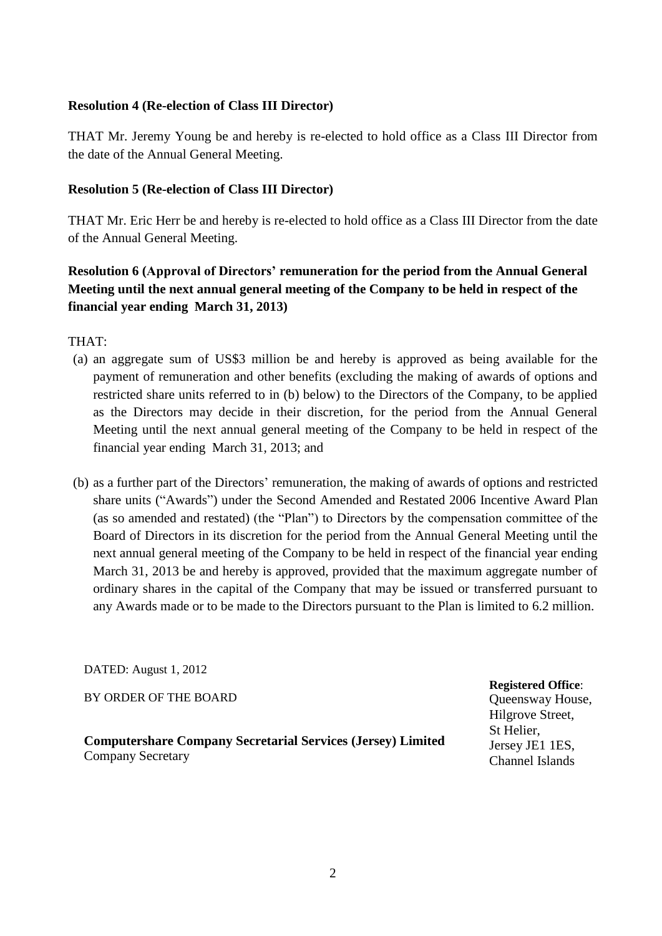### **Resolution 4 (Re-election of Class III Director)**

THAT Mr. Jeremy Young be and hereby is re-elected to hold office as a Class III Director from the date of the Annual General Meeting.

### **Resolution 5 (Re-election of Class III Director)**

THAT Mr. Eric Herr be and hereby is re-elected to hold office as a Class III Director from the date of the Annual General Meeting.

# **Resolution 6 (Approval of Directors' remuneration for the period from the Annual General Meeting until the next annual general meeting of the Company to be held in respect of the financial year ending March 31, 2013)**

THAT:

- (a) an aggregate sum of US\$3 million be and hereby is approved as being available for the payment of remuneration and other benefits (excluding the making of awards of options and restricted share units referred to in (b) below) to the Directors of the Company, to be applied as the Directors may decide in their discretion, for the period from the Annual General Meeting until the next annual general meeting of the Company to be held in respect of the financial year ending March 31, 2013; and
- (b) as a further part of the Directors' remuneration, the making of awards of options and restricted share units ("Awards") under the Second Amended and Restated 2006 Incentive Award Plan (as so amended and restated) (the "Plan") to Directors by the compensation committee of the Board of Directors in its discretion for the period from the Annual General Meeting until the next annual general meeting of the Company to be held in respect of the financial year ending March 31, 2013 be and hereby is approved, provided that the maximum aggregate number of ordinary shares in the capital of the Company that may be issued or transferred pursuant to any Awards made or to be made to the Directors pursuant to the Plan is limited to 6.2 million.

DATED: August 1, 2012

BY ORDER OF THE BOARD

**Computershare Company Secretarial Services (Jersey) Limited** Company Secretary

**Registered Office**: Queensway House, Hilgrove Street, St Helier, Jersey JE1 1ES, Channel Islands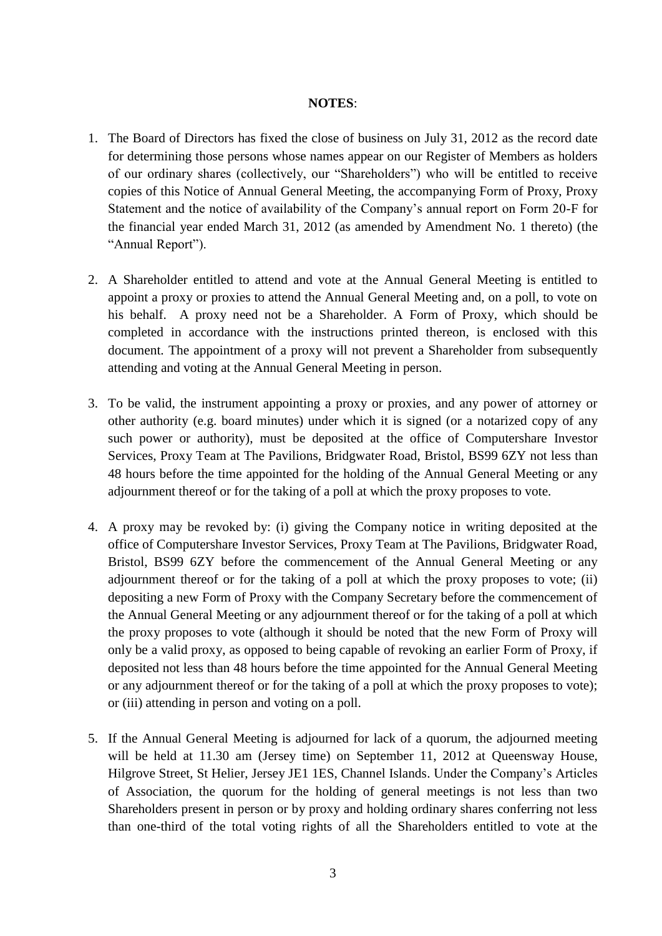#### **NOTES**:

- 1. The Board of Directors has fixed the close of business on July 31, 2012 as the record date for determining those persons whose names appear on our Register of Members as holders of our ordinary shares (collectively, our "Shareholders") who will be entitled to receive copies of this Notice of Annual General Meeting, the accompanying Form of Proxy, Proxy Statement and the notice of availability of the Company's annual report on Form 20-F for the financial year ended March 31, 2012 (as amended by Amendment No. 1 thereto) (the "Annual Report").
- 2. A Shareholder entitled to attend and vote at the Annual General Meeting is entitled to appoint a proxy or proxies to attend the Annual General Meeting and, on a poll, to vote on his behalf. A proxy need not be a Shareholder. A Form of Proxy, which should be completed in accordance with the instructions printed thereon, is enclosed with this document. The appointment of a proxy will not prevent a Shareholder from subsequently attending and voting at the Annual General Meeting in person.
- 3. To be valid, the instrument appointing a proxy or proxies, and any power of attorney or other authority (e.g. board minutes) under which it is signed (or a notarized copy of any such power or authority), must be deposited at the office of Computershare Investor Services, Proxy Team at The Pavilions, Bridgwater Road, Bristol, BS99 6ZY not less than 48 hours before the time appointed for the holding of the Annual General Meeting or any adjournment thereof or for the taking of a poll at which the proxy proposes to vote.
- 4. A proxy may be revoked by: (i) giving the Company notice in writing deposited at the office of Computershare Investor Services, Proxy Team at The Pavilions, Bridgwater Road, Bristol, BS99 6ZY before the commencement of the Annual General Meeting or any adjournment thereof or for the taking of a poll at which the proxy proposes to vote; (ii) depositing a new Form of Proxy with the Company Secretary before the commencement of the Annual General Meeting or any adjournment thereof or for the taking of a poll at which the proxy proposes to vote (although it should be noted that the new Form of Proxy will only be a valid proxy, as opposed to being capable of revoking an earlier Form of Proxy, if deposited not less than 48 hours before the time appointed for the Annual General Meeting or any adjournment thereof or for the taking of a poll at which the proxy proposes to vote); or (iii) attending in person and voting on a poll.
- 5. If the Annual General Meeting is adjourned for lack of a quorum, the adjourned meeting will be held at 11.30 am (Jersey time) on September 11, 2012 at Queensway House, Hilgrove Street, St Helier, Jersey JE1 1ES, Channel Islands. Under the Company's Articles of Association, the quorum for the holding of general meetings is not less than two Shareholders present in person or by proxy and holding ordinary shares conferring not less than one-third of the total voting rights of all the Shareholders entitled to vote at the